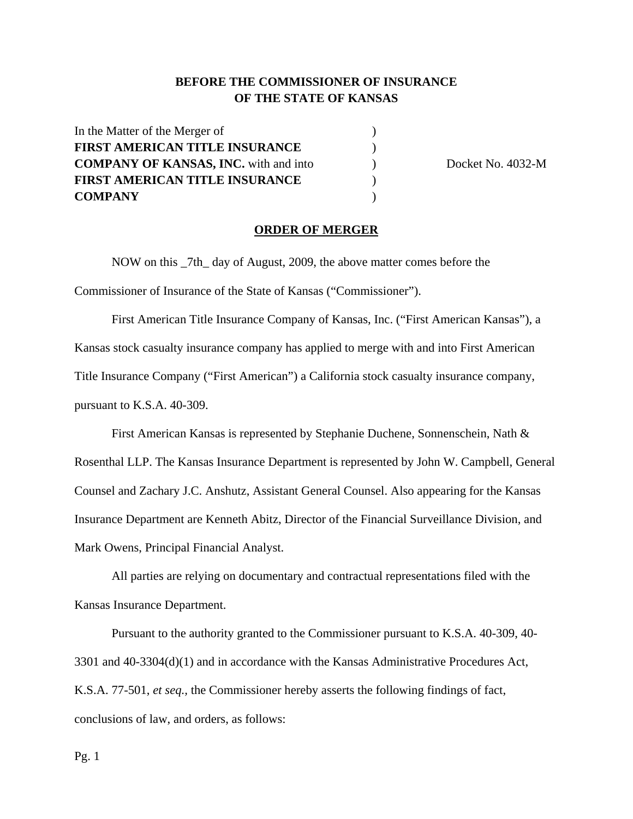## **BEFORE THE COMMISSIONER OF INSURANCE OF THE STATE OF KANSAS**

| In the Matter of the Merger of               |  |
|----------------------------------------------|--|
| <b>FIRST AMERICAN TITLE INSURANCE</b>        |  |
| <b>COMPANY OF KANSAS, INC.</b> with and into |  |
| <b>FIRST AMERICAN TITLE INSURANCE</b>        |  |
| <b>COMPANY</b>                               |  |

**Docket No. 4032-M** 

## **ORDER OF MERGER**

NOW on this \_7th\_ day of August, 2009, the above matter comes before the Commissioner of Insurance of the State of Kansas ("Commissioner").

First American Title Insurance Company of Kansas, Inc. ("First American Kansas"), a Kansas stock casualty insurance company has applied to merge with and into First American Title Insurance Company ("First American") a California stock casualty insurance company, pursuant to K.S.A. 40-309.

First American Kansas is represented by Stephanie Duchene, Sonnenschein, Nath & Rosenthal LLP. The Kansas Insurance Department is represented by John W. Campbell, General Counsel and Zachary J.C. Anshutz, Assistant General Counsel. Also appearing for the Kansas Insurance Department are Kenneth Abitz, Director of the Financial Surveillance Division, and Mark Owens, Principal Financial Analyst.

All parties are relying on documentary and contractual representations filed with the Kansas Insurance Department.

Pursuant to the authority granted to the Commissioner pursuant to K.S.A. 40-309, 40- 3301 and 40-3304(d)(1) and in accordance with the Kansas Administrative Procedures Act, K.S.A. 77-501, *et seq.,* the Commissioner hereby asserts the following findings of fact, conclusions of law, and orders, as follows: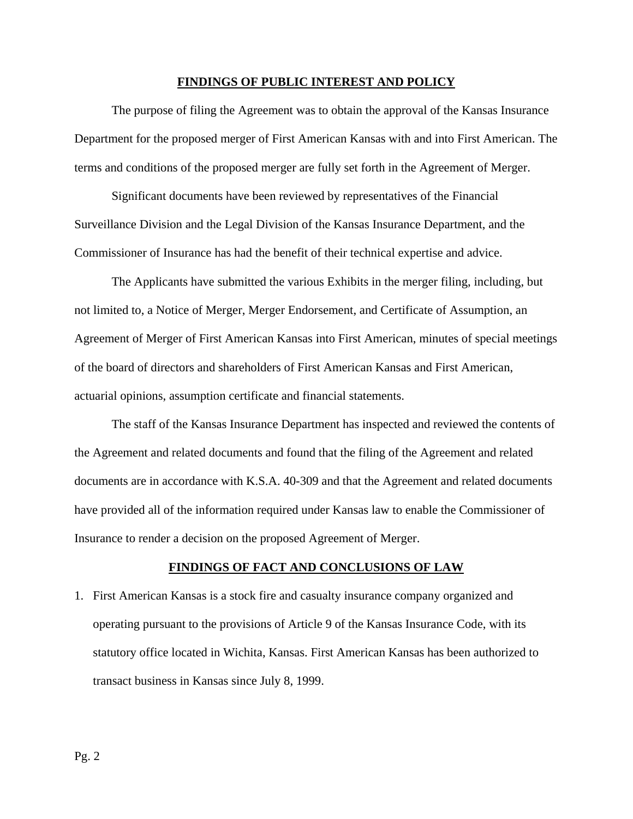#### **FINDINGS OF PUBLIC INTEREST AND POLICY**

The purpose of filing the Agreement was to obtain the approval of the Kansas Insurance Department for the proposed merger of First American Kansas with and into First American. The terms and conditions of the proposed merger are fully set forth in the Agreement of Merger.

Significant documents have been reviewed by representatives of the Financial Surveillance Division and the Legal Division of the Kansas Insurance Department, and the Commissioner of Insurance has had the benefit of their technical expertise and advice.

The Applicants have submitted the various Exhibits in the merger filing, including, but not limited to, a Notice of Merger, Merger Endorsement, and Certificate of Assumption, an Agreement of Merger of First American Kansas into First American, minutes of special meetings of the board of directors and shareholders of First American Kansas and First American, actuarial opinions, assumption certificate and financial statements.

The staff of the Kansas Insurance Department has inspected and reviewed the contents of the Agreement and related documents and found that the filing of the Agreement and related documents are in accordance with K.S.A. 40-309 and that the Agreement and related documents have provided all of the information required under Kansas law to enable the Commissioner of Insurance to render a decision on the proposed Agreement of Merger.

## **FINDINGS OF FACT AND CONCLUSIONS OF LAW**

1. First American Kansas is a stock fire and casualty insurance company organized and operating pursuant to the provisions of Article 9 of the Kansas Insurance Code, with its statutory office located in Wichita, Kansas. First American Kansas has been authorized to transact business in Kansas since July 8, 1999.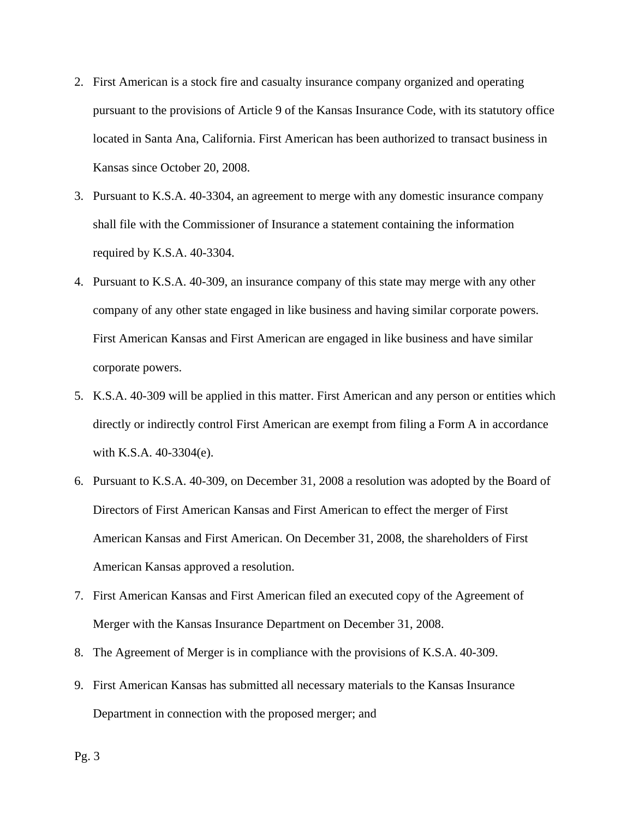- 2. First American is a stock fire and casualty insurance company organized and operating pursuant to the provisions of Article 9 of the Kansas Insurance Code, with its statutory office located in Santa Ana, California. First American has been authorized to transact business in Kansas since October 20, 2008.
- 3. Pursuant to K.S.A. 40-3304, an agreement to merge with any domestic insurance company shall file with the Commissioner of Insurance a statement containing the information required by K.S.A. 40-3304.
- 4. Pursuant to K.S.A. 40-309, an insurance company of this state may merge with any other company of any other state engaged in like business and having similar corporate powers. First American Kansas and First American are engaged in like business and have similar corporate powers.
- 5. K.S.A. 40-309 will be applied in this matter. First American and any person or entities which directly or indirectly control First American are exempt from filing a Form A in accordance with K.S.A. 40-3304(e).
- 6. Pursuant to K.S.A. 40-309, on December 31, 2008 a resolution was adopted by the Board of Directors of First American Kansas and First American to effect the merger of First American Kansas and First American. On December 31, 2008, the shareholders of First American Kansas approved a resolution.
- 7. First American Kansas and First American filed an executed copy of the Agreement of Merger with the Kansas Insurance Department on December 31, 2008.
- 8. The Agreement of Merger is in compliance with the provisions of K.S.A. 40-309.
- 9. First American Kansas has submitted all necessary materials to the Kansas Insurance Department in connection with the proposed merger; and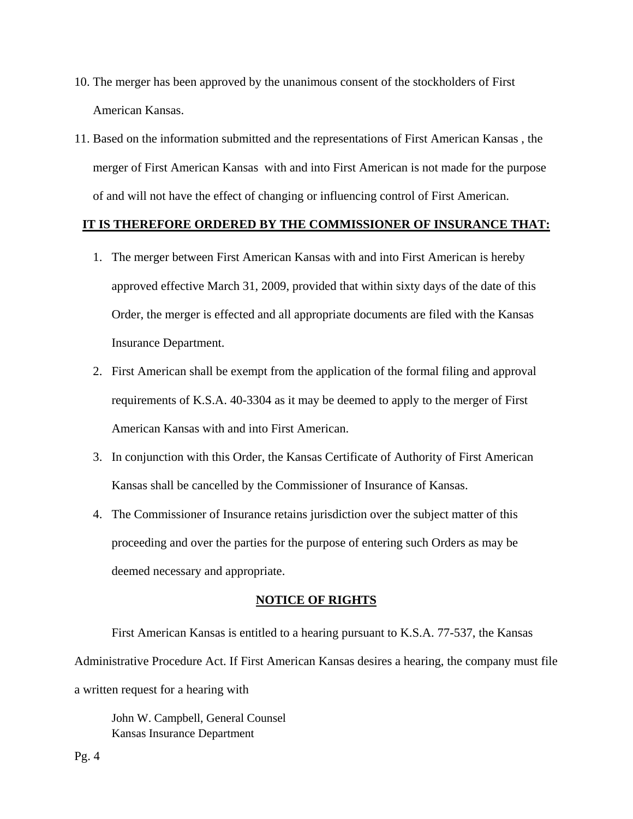- 10. The merger has been approved by the unanimous consent of the stockholders of First American Kansas.
- 11. Based on the information submitted and the representations of First American Kansas , the merger of First American Kansas with and into First American is not made for the purpose of and will not have the effect of changing or influencing control of First American.

## **IT IS THEREFORE ORDERED BY THE COMMISSIONER OF INSURANCE THAT:**

- 1. The merger between First American Kansas with and into First American is hereby approved effective March 31, 2009, provided that within sixty days of the date of this Order, the merger is effected and all appropriate documents are filed with the Kansas Insurance Department.
- 2. First American shall be exempt from the application of the formal filing and approval requirements of K.S.A. 40-3304 as it may be deemed to apply to the merger of First American Kansas with and into First American.
- 3. In conjunction with this Order, the Kansas Certificate of Authority of First American Kansas shall be cancelled by the Commissioner of Insurance of Kansas.
- 4. The Commissioner of Insurance retains jurisdiction over the subject matter of this proceeding and over the parties for the purpose of entering such Orders as may be deemed necessary and appropriate.

## **NOTICE OF RIGHTS**

First American Kansas is entitled to a hearing pursuant to K.S.A. 77-537, the Kansas Administrative Procedure Act. If First American Kansas desires a hearing, the company must file a written request for a hearing with

John W. Campbell, General Counsel Kansas Insurance Department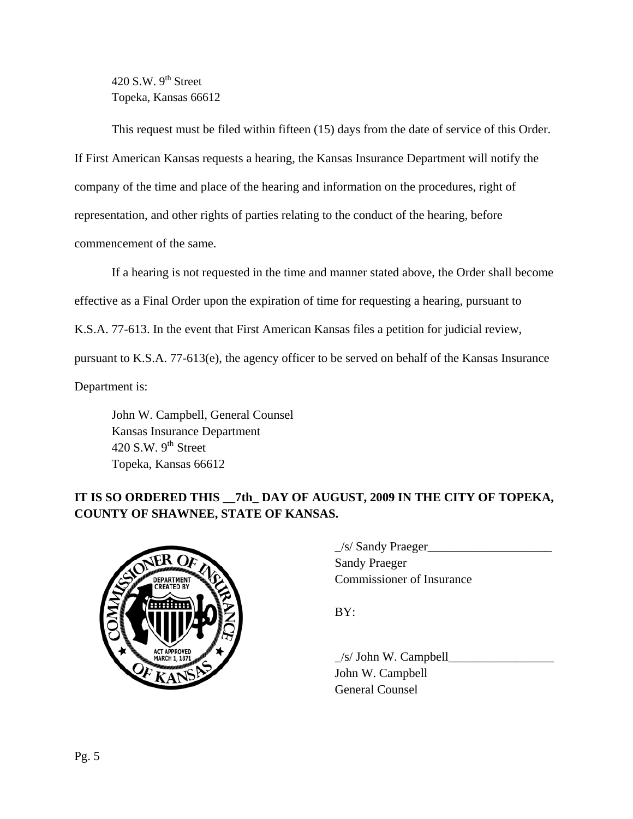420 S.W.  $9<sup>th</sup>$  Street Topeka, Kansas 66612

This request must be filed within fifteen (15) days from the date of service of this Order. If First American Kansas requests a hearing, the Kansas Insurance Department will notify the company of the time and place of the hearing and information on the procedures, right of representation, and other rights of parties relating to the conduct of the hearing, before commencement of the same.

If a hearing is not requested in the time and manner stated above, the Order shall become effective as a Final Order upon the expiration of time for requesting a hearing, pursuant to K.S.A. 77-613. In the event that First American Kansas files a petition for judicial review, pursuant to K.S.A. 77-613(e), the agency officer to be served on behalf of the Kansas Insurance Department is:

 John W. Campbell, General Counsel Kansas Insurance Department 420 S.W.  $9<sup>th</sup>$  Street Topeka, Kansas 66612

# **IT IS SO ORDERED THIS \_\_7th\_ DAY OF AUGUST, 2009 IN THE CITY OF TOPEKA, COUNTY OF SHAWNEE, STATE OF KANSAS.**



 $\angle$ s/ Sandy Praeger $\angle$  Sandy Praeger EPARTMENT COMMISSIONER OF Insurance

 $\angle$ s/ John W. Campbell John W. Campbell General Counsel